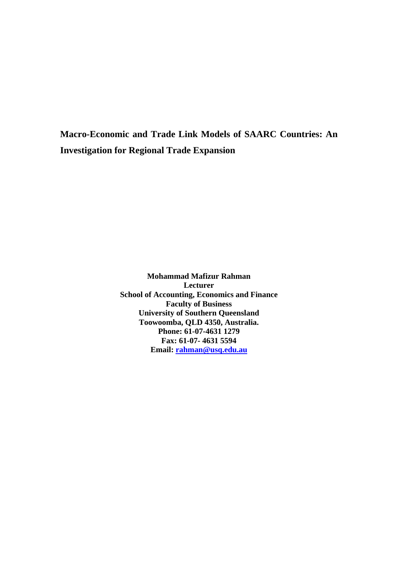**Macro-Economic and Trade Link Models of SAARC Countries: An Investigation for Regional Trade Expansion** 

> **Mohammad Mafizur Rahman Lecturer School of Accounting, Economics and Finance Faculty of Business University of Southern Queensland Toowoomba, QLD 4350, Australia. Phone: 61-07-4631 1279 Fax: 61-07- 4631 5594 Email: [rahman@usq.edu.au](mailto:rahman@usq.edu.au)**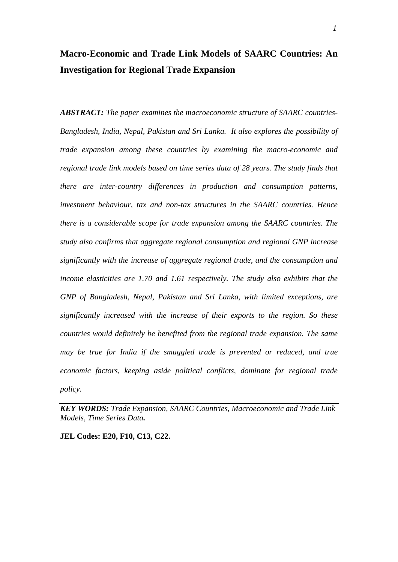# **Macro-Economic and Trade Link Models of SAARC Countries: An Investigation for Regional Trade Expansion**

*ABSTRACT: The paper examines the macroeconomic structure of SAARC countries-Bangladesh, India, Nepal, Pakistan and Sri Lanka. It also explores the possibility of trade expansion among these countries by examining the macro-economic and regional trade link models based on time series data of 28 years. The study finds that there are inter-country differences in production and consumption patterns, investment behaviour, tax and non-tax structures in the SAARC countries. Hence there is a considerable scope for trade expansion among the SAARC countries. The study also confirms that aggregate regional consumption and regional GNP increase significantly with the increase of aggregate regional trade, and the consumption and income elasticities are 1.70 and 1.61 respectively. The study also exhibits that the GNP of Bangladesh, Nepal, Pakistan and Sri Lanka, with limited exceptions, are significantly increased with the increase of their exports to the region. So these countries would definitely be benefited from the regional trade expansion. The same may be true for India if the smuggled trade is prevented or reduced, and true economic factors, keeping aside political conflicts, dominate for regional trade policy.* 

*KEY WORDS: Trade Expansion, SAARC Countries, Macroeconomic and Trade Link Models, Time Series Data.* 

**JEL Codes: E20, F10, C13, C22.**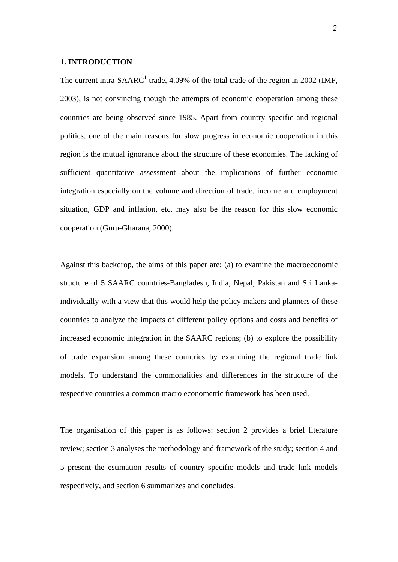# **1. INTRODUCTION**

The current intra-SAARC<sup>1</sup> trade, 4.09% of the total trade of the region in 2002 (IMF, 2003), is not convincing though the attempts of economic cooperation among these countries are being observed since 1985. Apart from country specific and regional politics, one of the main reasons for slow progress in economic cooperation in this region is the mutual ignorance about the structure of these economies. The lacking of sufficient quantitative assessment about the implications of further economic integration especially on the volume and direction of trade, income and employment situation, GDP and inflation, etc. may also be the reason for this slow economic cooperation (Guru-Gharana, 2000).

Against this backdrop, the aims of this paper are: (a) to examine the macroeconomic structure of 5 SAARC countries-Bangladesh, India, Nepal, Pakistan and Sri Lankaindividually with a view that this would help the policy makers and planners of these countries to analyze the impacts of different policy options and costs and benefits of increased economic integration in the SAARC regions; (b) to explore the possibility of trade expansion among these countries by examining the regional trade link models. To understand the commonalities and differences in the structure of the respective countries a common macro econometric framework has been used.

The organisation of this paper is as follows: section 2 provides a brief literature review; section 3 analyses the methodology and framework of the study; section 4 and 5 present the estimation results of country specific models and trade link models respectively, and section 6 summarizes and concludes.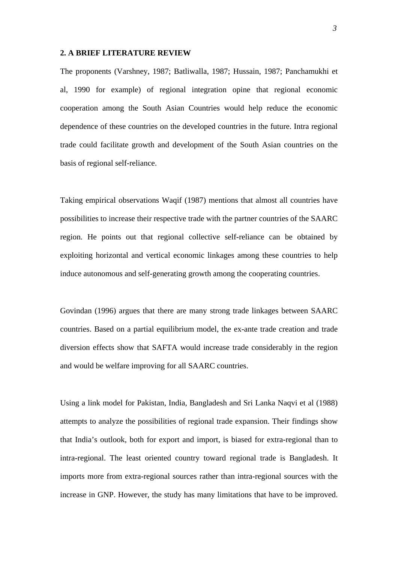#### **2. A BRIEF LITERATURE REVIEW**

The proponents (Varshney, 1987; Batliwalla, 1987; Hussain, 1987; Panchamukhi et al, 1990 for example) of regional integration opine that regional economic cooperation among the South Asian Countries would help reduce the economic dependence of these countries on the developed countries in the future. Intra regional trade could facilitate growth and development of the South Asian countries on the basis of regional self-reliance.

Taking empirical observations Waqif (1987) mentions that almost all countries have possibilities to increase their respective trade with the partner countries of the SAARC region. He points out that regional collective self-reliance can be obtained by exploiting horizontal and vertical economic linkages among these countries to help induce autonomous and self-generating growth among the cooperating countries.

Govindan (1996) argues that there are many strong trade linkages between SAARC countries. Based on a partial equilibrium model, the ex-ante trade creation and trade diversion effects show that SAFTA would increase trade considerably in the region and would be welfare improving for all SAARC countries.

Using a link model for Pakistan, India, Bangladesh and Sri Lanka Naqvi et al (1988) attempts to analyze the possibilities of regional trade expansion. Their findings show that India's outlook, both for export and import, is biased for extra-regional than to intra-regional. The least oriented country toward regional trade is Bangladesh. It imports more from extra-regional sources rather than intra-regional sources with the increase in GNP. However, the study has many limitations that have to be improved.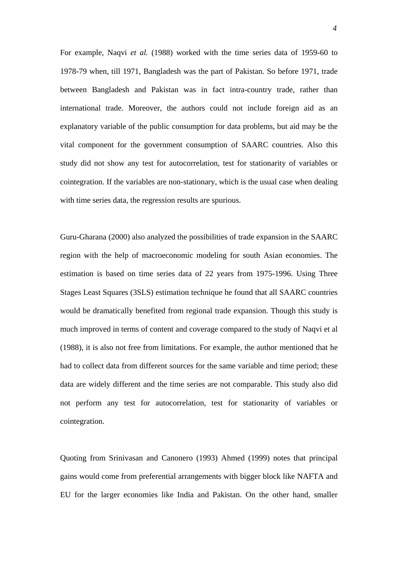For example, Naqvi *et al.* (1988) worked with the time series data of 1959-60 to 1978-79 when, till 1971, Bangladesh was the part of Pakistan. So before 1971, trade between Bangladesh and Pakistan was in fact intra-country trade, rather than international trade. Moreover, the authors could not include foreign aid as an explanatory variable of the public consumption for data problems, but aid may be the vital component for the government consumption of SAARC countries. Also this study did not show any test for autocorrelation, test for stationarity of variables or cointegration. If the variables are non-stationary, which is the usual case when dealing with time series data, the regression results are spurious.

Guru-Gharana (2000) also analyzed the possibilities of trade expansion in the SAARC region with the help of macroeconomic modeling for south Asian economies. The estimation is based on time series data of 22 years from 1975-1996. Using Three Stages Least Squares (3SLS) estimation technique he found that all SAARC countries would be dramatically benefited from regional trade expansion. Though this study is much improved in terms of content and coverage compared to the study of Naqvi et al (1988), it is also not free from limitations. For example, the author mentioned that he had to collect data from different sources for the same variable and time period; these data are widely different and the time series are not comparable. This study also did not perform any test for autocorrelation, test for stationarity of variables or cointegration.

Quoting from Srinivasan and Canonero (1993) Ahmed (1999) notes that principal gains would come from preferential arrangements with bigger block like NAFTA and EU for the larger economies like India and Pakistan. On the other hand, smaller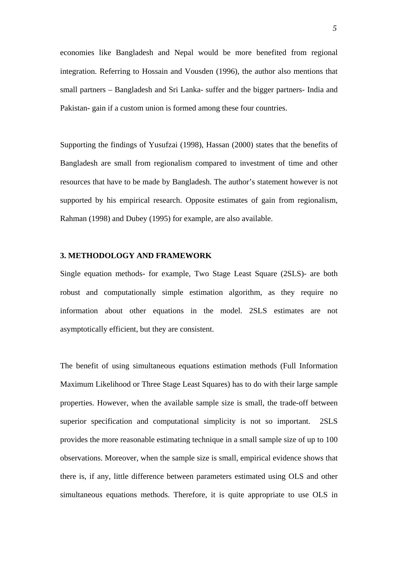economies like Bangladesh and Nepal would be more benefited from regional integration. Referring to Hossain and Vousden (1996), the author also mentions that small partners – Bangladesh and Sri Lanka- suffer and the bigger partners- India and Pakistan- gain if a custom union is formed among these four countries.

Supporting the findings of Yusufzai (1998), Hassan (2000) states that the benefits of Bangladesh are small from regionalism compared to investment of time and other resources that have to be made by Bangladesh. The author's statement however is not supported by his empirical research. Opposite estimates of gain from regionalism, Rahman (1998) and Dubey (1995) for example, are also available.

# **3. METHODOLOGY AND FRAMEWORK**

Single equation methods- for example, Two Stage Least Square (2SLS)- are both robust and computationally simple estimation algorithm, as they require no information about other equations in the model. 2SLS estimates are not asymptotically efficient, but they are consistent.

The benefit of using simultaneous equations estimation methods (Full Information Maximum Likelihood or Three Stage Least Squares) has to do with their large sample properties. However, when the available sample size is small, the trade-off between superior specification and computational simplicity is not so important. 2SLS provides the more reasonable estimating technique in a small sample size of up to 100 observations. Moreover, when the sample size is small, empirical evidence shows that there is, if any, little difference between parameters estimated using OLS and other simultaneous equations methods. Therefore, it is quite appropriate to use OLS in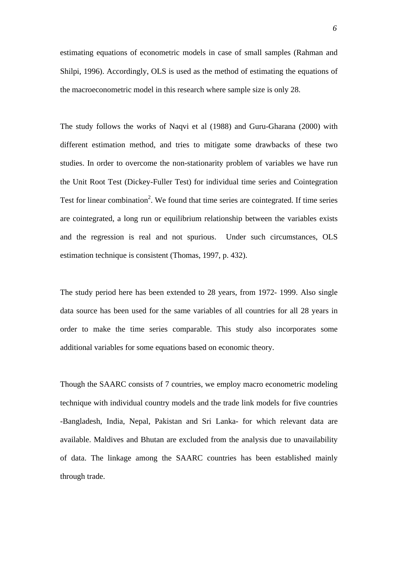estimating equations of econometric models in case of small samples (Rahman and Shilpi, 1996). Accordingly, OLS is used as the method of estimating the equations of the macroeconometric model in this research where sample size is only 28.

The study follows the works of Naqvi et al (1988) and Guru-Gharana (2000) with different estimation method, and tries to mitigate some drawbacks of these two studies. In order to overcome the non-stationarity problem of variables we have run the Unit Root Test (Dickey-Fuller Test) for individual time series and Cointegration Test for linear combination<sup>2</sup>. We found that time series are cointegrated. If time series are cointegrated, a long run or equilibrium relationship between the variables exists and the regression is real and not spurious. Under such circumstances, OLS estimation technique is consistent (Thomas, 1997, p. 432).

The study period here has been extended to 28 years, from 1972- 1999. Also single data source has been used for the same variables of all countries for all 28 years in order to make the time series comparable. This study also incorporates some additional variables for some equations based on economic theory.

Though the SAARC consists of 7 countries, we employ macro econometric modeling technique with individual country models and the trade link models for five countries -Bangladesh, India, Nepal, Pakistan and Sri Lanka- for which relevant data are available. Maldives and Bhutan are excluded from the analysis due to unavailability of data. The linkage among the SAARC countries has been established mainly through trade.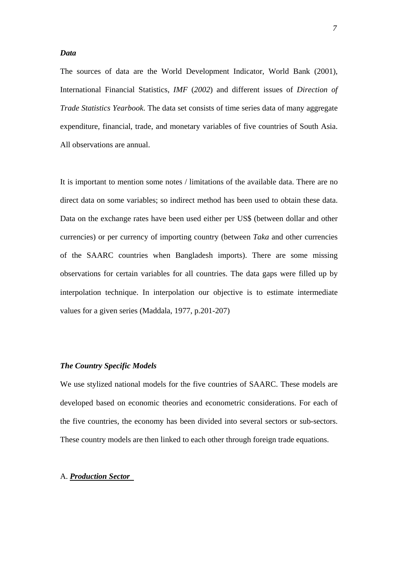#### *Data*

The sources of data are the World Development Indicator, World Bank (2001), International Financial Statistics, *IMF* (*2002*) and different issues of *Direction of Trade Statistics Yearbook*. The data set consists of time series data of many aggregate expenditure, financial, trade, and monetary variables of five countries of South Asia. All observations are annual.

It is important to mention some notes / limitations of the available data. There are no direct data on some variables; so indirect method has been used to obtain these data. Data on the exchange rates have been used either per US\$ (between dollar and other currencies) or per currency of importing country (between *Taka* and other currencies of the SAARC countries when Bangladesh imports). There are some missing observations for certain variables for all countries. The data gaps were filled up by interpolation technique. In interpolation our objective is to estimate intermediate values for a given series (Maddala, 1977, p.201-207)

# *The Country Specific Models*

We use stylized national models for the five countries of SAARC. These models are developed based on economic theories and econometric considerations. For each of the five countries, the economy has been divided into several sectors or sub-sectors. These country models are then linked to each other through foreign trade equations.

# A. *Production Sector*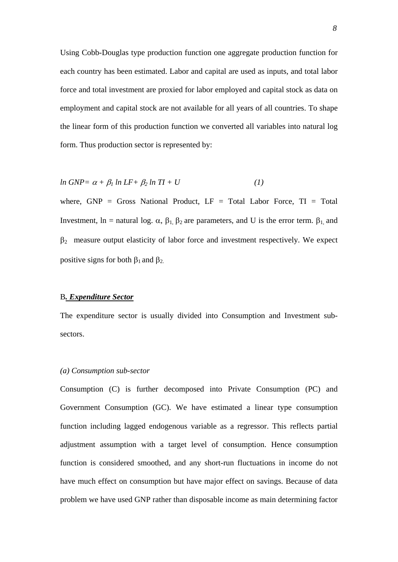Using Cobb-Douglas type production function one aggregate production function for each country has been estimated. Labor and capital are used as inputs, and total labor force and total investment are proxied for labor employed and capital stock as data on employment and capital stock are not available for all years of all countries. To shape the linear form of this production function we converted all variables into natural log form. Thus production sector is represented by:

$$
ln GNP = \alpha + \beta_1 ln LF + \beta_2 ln TI + U \qquad (1)
$$

where,  $GNP = Gross$  National Product,  $LF = Total$  Labor Force,  $TI = Total$ Investment, ln = natural log. α,  $β_1$ ,  $β_2$  are parameters, and U is the error term.  $β_1$ , and  $\beta_2$  measure output elasticity of labor force and investment respectively. We expect positive signs for both  $\beta_1$  and  $\beta_2$ .

# B*. Expenditure Sector*

The expenditure sector is usually divided into Consumption and Investment subsectors.

#### *(a) Consumption sub-sector*

Consumption (C) is further decomposed into Private Consumption (PC) and Government Consumption (GC). We have estimated a linear type consumption function including lagged endogenous variable as a regressor. This reflects partial adjustment assumption with a target level of consumption. Hence consumption function is considered smoothed, and any short-run fluctuations in income do not have much effect on consumption but have major effect on savings. Because of data problem we have used GNP rather than disposable income as main determining factor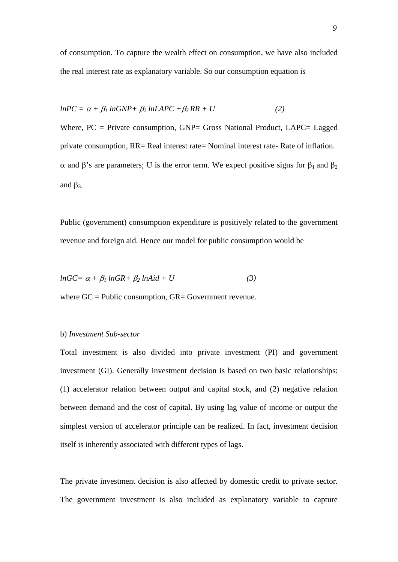of consumption. To capture the wealth effect on consumption, we have also included the real interest rate as explanatory variable. So our consumption equation is

$$
lnPC = \alpha + \beta_1 lnGNP + \beta_2 lnLAPC + \beta_3 RR + U \qquad (2)
$$

Where, PC = Private consumption, GNP= Gross National Product, LAPC= Lagged private consumption, RR= Real interest rate= Nominal interest rate- Rate of inflation. α and β's are parameters; U is the error term. We expect positive signs for  $β_1$  and  $β_2$ and  $β_3$ .

Public (government) consumption expenditure is positively related to the government revenue and foreign aid. Hence our model for public consumption would be

$$
lnGC = \alpha + \beta_1 lnGR + \beta_2 lnAid + U \qquad (3)
$$

where  $GC =$  Public consumption,  $GR =$  Government revenue.

# b) *Investment Sub-sector*

Total investment is also divided into private investment (PI) and government investment (GI). Generally investment decision is based on two basic relationships: (1) accelerator relation between output and capital stock, and (2) negative relation between demand and the cost of capital. By using lag value of income or output the simplest version of accelerator principle can be realized. In fact, investment decision itself is inherently associated with different types of lags.

The private investment decision is also affected by domestic credit to private sector. The government investment is also included as explanatory variable to capture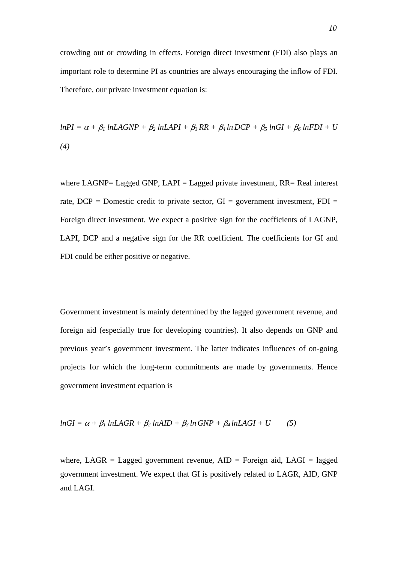$$
lnPI = \alpha + \beta_1 lnLAGNP + \beta_2 lnLAPI + \beta_3 RR + \beta_4 ln DCP + \beta_5 lnGI + \beta_6 lnFDI + U
$$
\n(4)

where LAGNP= Lagged GNP, LAPI = Lagged private investment,  $RR = Real$  interest rate,  $DCP =$  Domestic credit to private sector,  $GI =$  government investment,  $FDI =$ Foreign direct investment. We expect a positive sign for the coefficients of LAGNP, LAPI, DCP and a negative sign for the RR coefficient. The coefficients for GI and FDI could be either positive or negative.

Government investment is mainly determined by the lagged government revenue, and foreign aid (especially true for developing countries). It also depends on GNP and previous year's government investment. The latter indicates influences of on-going projects for which the long-term commitments are made by governments. Hence government investment equation is

$$
lnGI = \alpha + \beta_1 lnLAGR + \beta_2 lnAID + \beta_3 ln GNP + \beta_4 lnLAGI + U \qquad (5)
$$

where,  $LAGR = Lagged government revenue$ ,  $AID = Foreign aid$ ,  $LAGI = lagged$ government investment. We expect that GI is positively related to LAGR, AID, GNP and LAGI.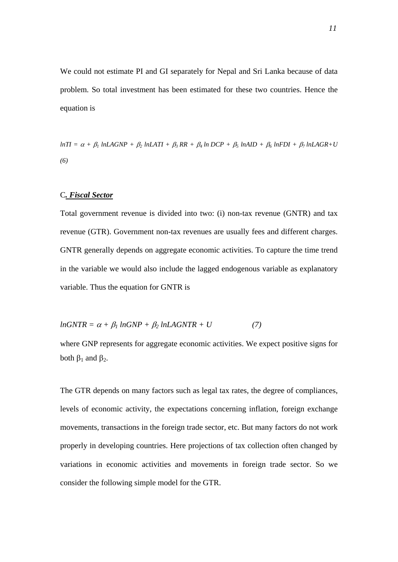We could not estimate PI and GI separately for Nepal and Sri Lanka because of data problem. So total investment has been estimated for these two countries. Hence the equation is

 $lnTI = \alpha + \beta_I lnLAGNP + \beta_I lnLATI + \beta_I RR + \beta_I ln DCP + \beta_S lnAID + \beta_S lnFDI + \beta_I lnLAGR+U$ *(6)* 

#### C*. Fiscal Sector*

Total government revenue is divided into two: (i) non-tax revenue (GNTR) and tax revenue (GTR). Government non-tax revenues are usually fees and different charges. GNTR generally depends on aggregate economic activities. To capture the time trend in the variable we would also include the lagged endogenous variable as explanatory variable. Thus the equation for GNTR is

$$
lnGNTR = \alpha + \beta_1 lnGNP + \beta_2 lnLAGNTR + U \qquad (7)
$$

where GNP represents for aggregate economic activities. We expect positive signs for both  $β_1$  and  $β_2$ .

The GTR depends on many factors such as legal tax rates, the degree of compliances, levels of economic activity, the expectations concerning inflation, foreign exchange movements, transactions in the foreign trade sector, etc. But many factors do not work properly in developing countries. Here projections of tax collection often changed by variations in economic activities and movements in foreign trade sector. So we consider the following simple model for the GTR.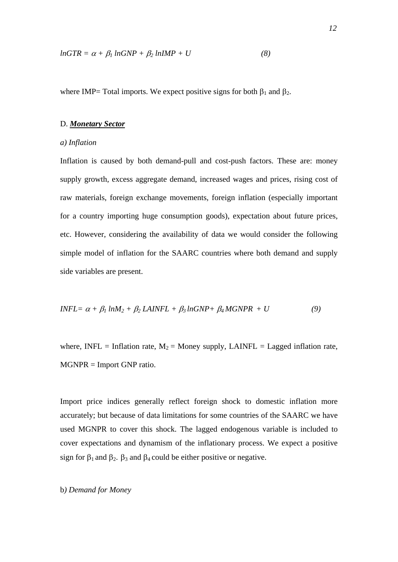$$
lnGTR = \alpha + \beta_1 lnGNP + \beta_2 lnIMP + U \qquad (8)
$$

where IMP= Total imports. We expect positive signs for both  $\beta_1$  and  $\beta_2$ .

#### D. *Monetary Sector*

# *a) Inflation*

Inflation is caused by both demand-pull and cost-push factors. These are: money supply growth, excess aggregate demand, increased wages and prices, rising cost of raw materials, foreign exchange movements, foreign inflation (especially important for a country importing huge consumption goods), expectation about future prices, etc. However, considering the availability of data we would consider the following simple model of inflation for the SAARC countries where both demand and supply side variables are present.

$$
INFL = \alpha + \beta_1 \ln M_2 + \beta_2 \text{LAINFL} + \beta_3 \ln GNP + \beta_4 \text{MGNPR} + U \tag{9}
$$

where, INFL = Inflation rate,  $M_2$  = Money supply, LAINFL = Lagged inflation rate, MGNPR = Import GNP ratio.

Import price indices generally reflect foreign shock to domestic inflation more accurately; but because of data limitations for some countries of the SAARC we have used MGNPR to cover this shock. The lagged endogenous variable is included to cover expectations and dynamism of the inflationary process. We expect a positive sign for  $\beta_1$  and  $\beta_2$ .  $\beta_3$  and  $\beta_4$  could be either positive or negative.

# b*) Demand for Money*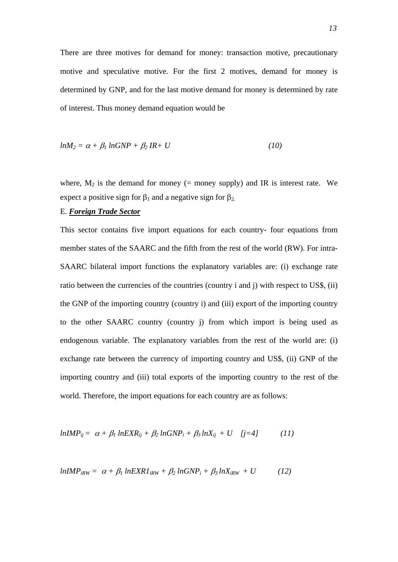There are three motives for demand for money: transaction motive, precautionary motive and speculative motive. For the first 2 motives, demand for money is determined by GNP, and for the last motive demand for money is determined by rate of interest. Thus money demand equation would be

$$
lnM_2 = \alpha + \beta_1 lnGNP + \beta_2 IR + U \qquad (10)
$$

where,  $M_2$  is the demand for money (= money supply) and IR is interest rate. We expect a positive sign for  $\beta_1$  and a negative sign for  $\beta_2$ .

# E. *Foreign Trade Sector*

This sector contains five import equations for each country- four equations from member states of the SAARC and the fifth from the rest of the world (RW). For intra-SAARC bilateral import functions the explanatory variables are: (i) exchange rate ratio between the currencies of the countries (country i and j) with respect to US\$, (ii) the GNP of the importing country (country i) and (iii) export of the importing country to the other SAARC country (country j) from which import is being used as endogenous variable. The explanatory variables from the rest of the world are: (i) exchange rate between the currency of importing country and US\$, (ii) GNP of the importing country and (iii) total exports of the importing country to the rest of the world. Therefore, the import equations for each country are as follows:

$$
lnIMP_{ij} = \alpha + \beta_1 lnEXR_{ij} + \beta_2 lnGNP_i + \beta_3 lnX_{ij} + U \quad [j=4]
$$
 (11)

$$
lnIMP_{iRW} = \alpha + \beta_1 lnEXR1_{iRW} + \beta_2 lnGNP_i + \beta_3 lnX_{iRW} + U \qquad (12)
$$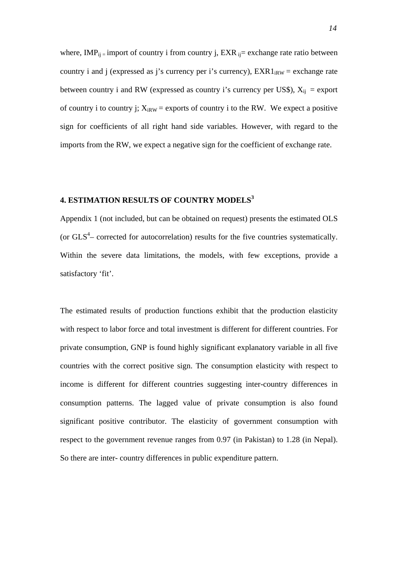where, IMP<sub>ij =</sub> import of country i from country j, EXR  $_{ij}$  = exchange rate ratio between country i and j (expressed as j's currency per i's currency),  $EXR1_{iRW} =$  exchange rate between country i and RW (expressed as country i's currency per US\$),  $X_{ij}$  = export of country i to country j;  $X_{iRW}$  = exports of country i to the RW. We expect a positive sign for coefficients of all right hand side variables. However, with regard to the imports from the RW, we expect a negative sign for the coefficient of exchange rate.

# **4. ESTIMATION RESULTS OF COUNTRY MODELS<sup>3</sup>**

Appendix 1 (not included, but can be obtained on request) presents the estimated OLS (or  $GLS<sup>4</sup>$  – corrected for autocorrelation) results for the five countries systematically. Within the severe data limitations, the models, with few exceptions, provide a satisfactory 'fit'.

The estimated results of production functions exhibit that the production elasticity with respect to labor force and total investment is different for different countries. For private consumption, GNP is found highly significant explanatory variable in all five countries with the correct positive sign. The consumption elasticity with respect to income is different for different countries suggesting inter-country differences in consumption patterns. The lagged value of private consumption is also found significant positive contributor. The elasticity of government consumption with respect to the government revenue ranges from 0.97 (in Pakistan) to 1.28 (in Nepal). So there are inter- country differences in public expenditure pattern.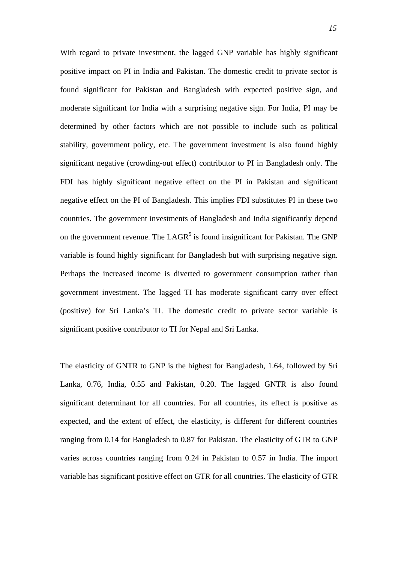With regard to private investment, the lagged GNP variable has highly significant positive impact on PI in India and Pakistan. The domestic credit to private sector is found significant for Pakistan and Bangladesh with expected positive sign, and moderate significant for India with a surprising negative sign. For India, PI may be determined by other factors which are not possible to include such as political stability, government policy, etc. The government investment is also found highly significant negative (crowding-out effect) contributor to PI in Bangladesh only. The FDI has highly significant negative effect on the PI in Pakistan and significant negative effect on the PI of Bangladesh. This implies FDI substitutes PI in these two countries. The government investments of Bangladesh and India significantly depend on the government revenue. The  $LAGR<sup>5</sup>$  is found insignificant for Pakistan. The GNP variable is found highly significant for Bangladesh but with surprising negative sign. Perhaps the increased income is diverted to government consumption rather than government investment. The lagged TI has moderate significant carry over effect (positive) for Sri Lanka's TI. The domestic credit to private sector variable is significant positive contributor to TI for Nepal and Sri Lanka.

The elasticity of GNTR to GNP is the highest for Bangladesh, 1.64, followed by Sri Lanka, 0.76, India, 0.55 and Pakistan, 0.20. The lagged GNTR is also found significant determinant for all countries. For all countries, its effect is positive as expected, and the extent of effect, the elasticity, is different for different countries ranging from 0.14 for Bangladesh to 0.87 for Pakistan. The elasticity of GTR to GNP varies across countries ranging from 0.24 in Pakistan to 0.57 in India. The import variable has significant positive effect on GTR for all countries. The elasticity of GTR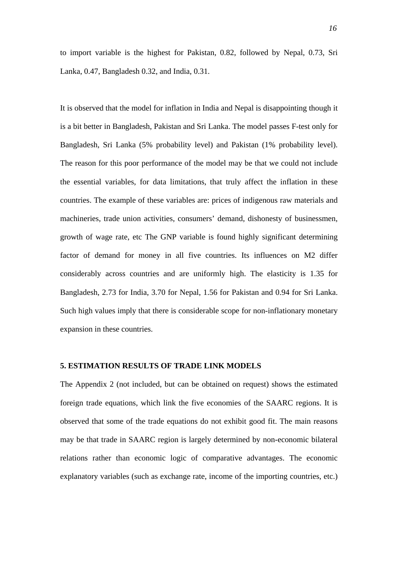to import variable is the highest for Pakistan, 0.82, followed by Nepal, 0.73, Sri Lanka, 0.47, Bangladesh 0.32, and India, 0.31.

It is observed that the model for inflation in India and Nepal is disappointing though it is a bit better in Bangladesh, Pakistan and Sri Lanka. The model passes F-test only for Bangladesh, Sri Lanka (5% probability level) and Pakistan (1% probability level). The reason for this poor performance of the model may be that we could not include the essential variables, for data limitations, that truly affect the inflation in these countries. The example of these variables are: prices of indigenous raw materials and machineries, trade union activities, consumers' demand, dishonesty of businessmen, growth of wage rate, etc The GNP variable is found highly significant determining factor of demand for money in all five countries. Its influences on M2 differ considerably across countries and are uniformly high. The elasticity is 1.35 for Bangladesh, 2.73 for India, 3.70 for Nepal, 1.56 for Pakistan and 0.94 for Sri Lanka. Such high values imply that there is considerable scope for non-inflationary monetary expansion in these countries.

# **5. ESTIMATION RESULTS OF TRADE LINK MODELS**

The Appendix 2 (not included, but can be obtained on request) shows the estimated foreign trade equations, which link the five economies of the SAARC regions. It is observed that some of the trade equations do not exhibit good fit. The main reasons may be that trade in SAARC region is largely determined by non-economic bilateral relations rather than economic logic of comparative advantages. The economic explanatory variables (such as exchange rate, income of the importing countries, etc.)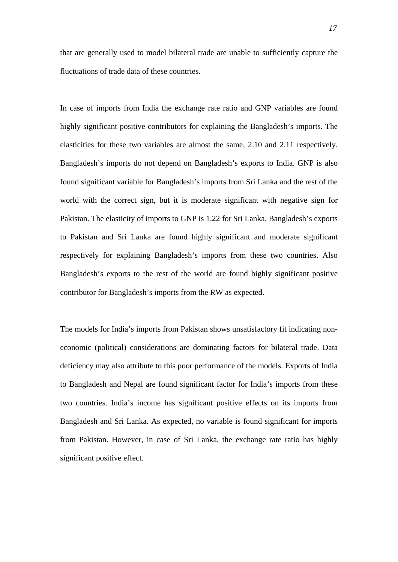that are generally used to model bilateral trade are unable to sufficiently capture the fluctuations of trade data of these countries.

In case of imports from India the exchange rate ratio and GNP variables are found highly significant positive contributors for explaining the Bangladesh's imports. The elasticities for these two variables are almost the same, 2.10 and 2.11 respectively. Bangladesh's imports do not depend on Bangladesh's exports to India. GNP is also found significant variable for Bangladesh's imports from Sri Lanka and the rest of the world with the correct sign, but it is moderate significant with negative sign for Pakistan. The elasticity of imports to GNP is 1.22 for Sri Lanka. Bangladesh's exports to Pakistan and Sri Lanka are found highly significant and moderate significant respectively for explaining Bangladesh's imports from these two countries. Also Bangladesh's exports to the rest of the world are found highly significant positive contributor for Bangladesh's imports from the RW as expected.

The models for India's imports from Pakistan shows unsatisfactory fit indicating noneconomic (political) considerations are dominating factors for bilateral trade. Data deficiency may also attribute to this poor performance of the models. Exports of India to Bangladesh and Nepal are found significant factor for India's imports from these two countries. India's income has significant positive effects on its imports from Bangladesh and Sri Lanka. As expected, no variable is found significant for imports from Pakistan. However, in case of Sri Lanka, the exchange rate ratio has highly significant positive effect.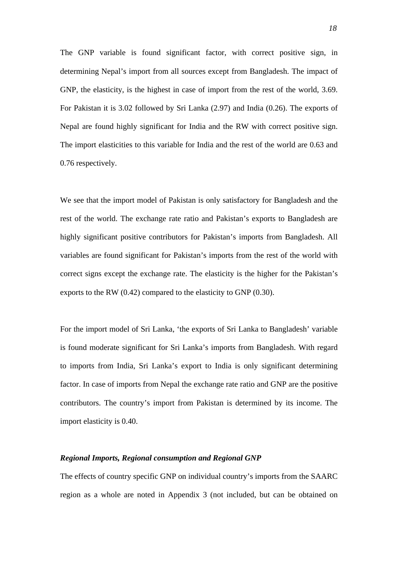The GNP variable is found significant factor, with correct positive sign, in determining Nepal's import from all sources except from Bangladesh. The impact of GNP, the elasticity, is the highest in case of import from the rest of the world, 3.69. For Pakistan it is 3.02 followed by Sri Lanka (2.97) and India (0.26). The exports of Nepal are found highly significant for India and the RW with correct positive sign. The import elasticities to this variable for India and the rest of the world are 0.63 and 0.76 respectively.

We see that the import model of Pakistan is only satisfactory for Bangladesh and the rest of the world. The exchange rate ratio and Pakistan's exports to Bangladesh are highly significant positive contributors for Pakistan's imports from Bangladesh. All variables are found significant for Pakistan's imports from the rest of the world with correct signs except the exchange rate. The elasticity is the higher for the Pakistan's exports to the RW (0.42) compared to the elasticity to GNP (0.30).

For the import model of Sri Lanka, 'the exports of Sri Lanka to Bangladesh' variable is found moderate significant for Sri Lanka's imports from Bangladesh. With regard to imports from India, Sri Lanka's export to India is only significant determining factor. In case of imports from Nepal the exchange rate ratio and GNP are the positive contributors. The country's import from Pakistan is determined by its income. The import elasticity is 0.40.

# *Regional Imports, Regional consumption and Regional GNP*

The effects of country specific GNP on individual country's imports from the SAARC region as a whole are noted in Appendix 3 (not included, but can be obtained on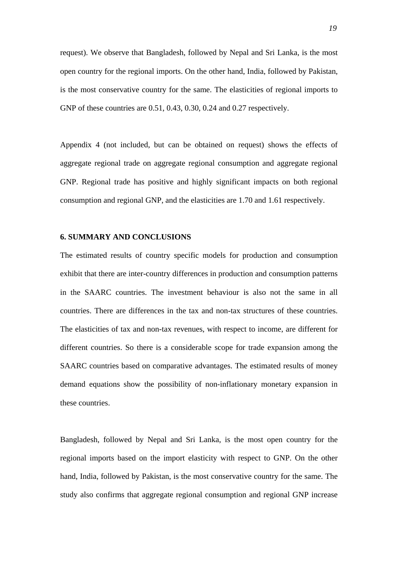request). We observe that Bangladesh, followed by Nepal and Sri Lanka, is the most open country for the regional imports. On the other hand, India, followed by Pakistan, is the most conservative country for the same. The elasticities of regional imports to GNP of these countries are 0.51, 0.43, 0.30, 0.24 and 0.27 respectively.

Appendix 4 (not included, but can be obtained on request) shows the effects of aggregate regional trade on aggregate regional consumption and aggregate regional GNP. Regional trade has positive and highly significant impacts on both regional consumption and regional GNP, and the elasticities are 1.70 and 1.61 respectively.

# **6. SUMMARY AND CONCLUSIONS**

The estimated results of country specific models for production and consumption exhibit that there are inter-country differences in production and consumption patterns in the SAARC countries. The investment behaviour is also not the same in all countries. There are differences in the tax and non-tax structures of these countries. The elasticities of tax and non-tax revenues, with respect to income, are different for different countries. So there is a considerable scope for trade expansion among the SAARC countries based on comparative advantages. The estimated results of money demand equations show the possibility of non-inflationary monetary expansion in these countries.

Bangladesh, followed by Nepal and Sri Lanka, is the most open country for the regional imports based on the import elasticity with respect to GNP. On the other hand, India, followed by Pakistan, is the most conservative country for the same. The study also confirms that aggregate regional consumption and regional GNP increase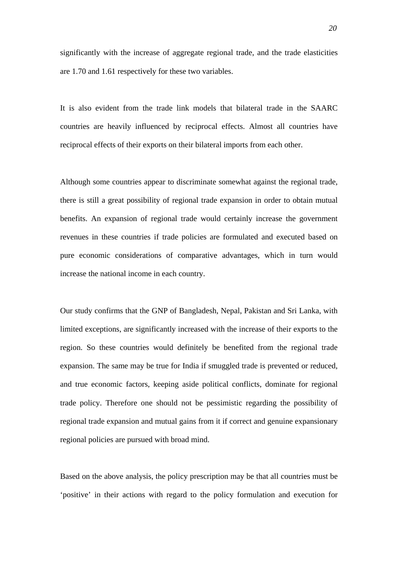significantly with the increase of aggregate regional trade, and the trade elasticities are 1.70 and 1.61 respectively for these two variables.

It is also evident from the trade link models that bilateral trade in the SAARC countries are heavily influenced by reciprocal effects. Almost all countries have reciprocal effects of their exports on their bilateral imports from each other.

Although some countries appear to discriminate somewhat against the regional trade, there is still a great possibility of regional trade expansion in order to obtain mutual benefits. An expansion of regional trade would certainly increase the government revenues in these countries if trade policies are formulated and executed based on pure economic considerations of comparative advantages, which in turn would increase the national income in each country.

Our study confirms that the GNP of Bangladesh, Nepal, Pakistan and Sri Lanka, with limited exceptions, are significantly increased with the increase of their exports to the region. So these countries would definitely be benefited from the regional trade expansion. The same may be true for India if smuggled trade is prevented or reduced, and true economic factors, keeping aside political conflicts, dominate for regional trade policy. Therefore one should not be pessimistic regarding the possibility of regional trade expansion and mutual gains from it if correct and genuine expansionary regional policies are pursued with broad mind.

Based on the above analysis, the policy prescription may be that all countries must be 'positive' in their actions with regard to the policy formulation and execution for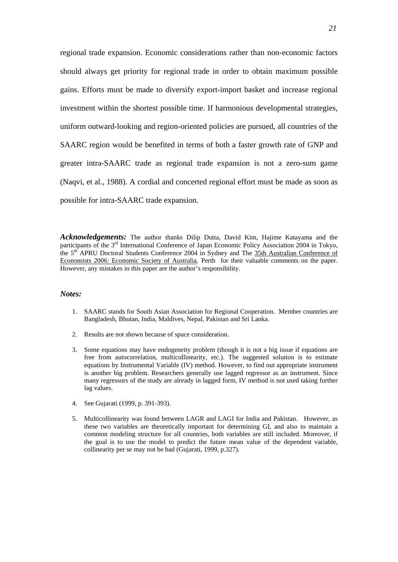regional trade expansion. Economic considerations rather than non-economic factors should always get priority for regional trade in order to obtain maximum possible gains. Efforts must be made to diversify export-import basket and increase regional investment within the shortest possible time. If harmonious developmental strategies, uniform outward-looking and region-oriented policies are pursued, all countries of the SAARC region would be benefited in terms of both a faster growth rate of GNP and greater intra-SAARC trade as regional trade expansion is not a zero-sum game (Naqvi, et al., 1988). A cordial and concerted regional effort must be made as soon as possible for intra-SAARC trade expansion.

*Acknowledgements:* The author thanks Dilip Dutta, David Kim, Hajime Katayama and the participants of the 3<sup>rd</sup> International Conference of Japan Economic Policy Association 2004 in Tokyo. the 5th APRU Doctoral Students Conference 2004 in Sydney and The [35th Australian Conference of](https://webmail.usq.edu.au/exchweb/bin/redir.asp?URL=http://healtheconomics.org/call-for-abstracts/2006/05/31/35th-australian-conferenc.html)  [Economists 2006: Economic Society of Australia](https://webmail.usq.edu.au/exchweb/bin/redir.asp?URL=http://healtheconomics.org/call-for-abstracts/2006/05/31/35th-australian-conferenc.html)*,* Perth for their valuable comments on the paper. However, any mistakes in this paper are the author's responsibility.

#### *Notes:*

- 1. SAARC stands for South Asian Association for Regional Cooperation. Member countries are Bangladesh, Bhutan, India, Maldives, Nepal, Pakistan and Sri Lanka.
- 2. Results are not shown because of space consideration.
- 3. Some equations may have endogeneity problem (though it is not a big issue if equations are free from autocorrelation, multicollinearity, etc.). The suggested solution is to estimate equations by Instrumental Variable (IV) method. However, to find out appropriate instrument is another big problem. Researchers generally use lagged regressor as an instrument. Since many regressors of the study are already in lagged form, IV method is not used taking further lag values.
- 4. See Gujarati (1999, p. 391-393).
- 5. Multicollinearity was found between LAGR and LAGI for India and Pakistan. However, as these two variables are theoretically important for determining GI, and also to maintain a common modeling structure for all countries, both variables are still included. Moreover, if the goal is to use the model to predict the future mean value of the dependent variable, collinearity per se may not be bad (Gujarati, 1999, p.327).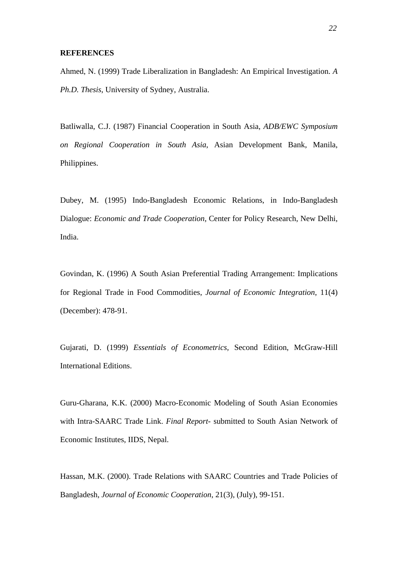#### **REFERENCES**

Ahmed, N. (1999) Trade Liberalization in Bangladesh: An Empirical Investigation. *A Ph.D. Thesis*, University of Sydney, Australia.

Batliwalla, C.J. (1987) Financial Cooperation in South Asia, *ADB/EWC Symposium on Regional Cooperation in South Asia*, Asian Development Bank, Manila, Philippines.

Dubey, M. (1995) Indo-Bangladesh Economic Relations, in Indo-Bangladesh Dialogue: *Economic and Trade Cooperation*, Center for Policy Research, New Delhi, India.

Govindan, K. (1996) A South Asian Preferential Trading Arrangement: Implications for Regional Trade in Food Commodities, *Journal of Economic Integration*, 11(4) (December): 478-91.

Gujarati, D. (1999) *Essentials of Econometrics,* Second Edition, McGraw-Hill International Editions.

Guru-Gharana, K.K. (2000) Macro-Economic Modeling of South Asian Economies with Intra-SAARC Trade Link. *Final Report*- submitted to South Asian Network of Economic Institutes, IIDS, Nepal.

Hassan, M.K. (2000). Trade Relations with SAARC Countries and Trade Policies of Bangladesh, *Journal of Economic Cooperation*, 21(3), (July), 99-151.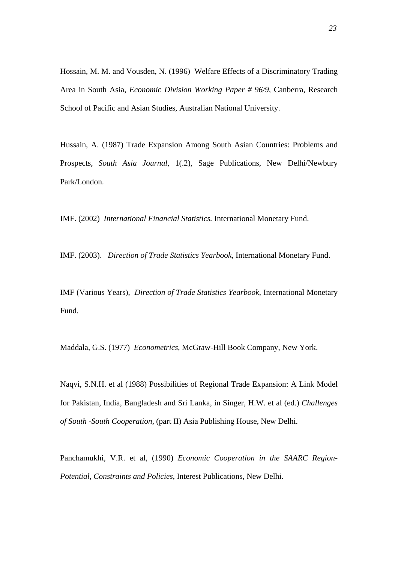Hossain, M. M. and Vousden, N. (1996) Welfare Effects of a Discriminatory Trading Area in South Asia, *Economic Division Working Paper # 96/9,* Canberra, Research School of Pacific and Asian Studies, Australian National University.

Hussain, A. (1987) Trade Expansion Among South Asian Countries: Problems and Prospects, *South Asia Journal*, 1(.2), Sage Publications, New Delhi/Newbury Park/London.

IMF. (2002) *International Financial Statistics.* International Monetary Fund.

IMF. (2003). *Direction of Trade Statistics Yearbook*, International Monetary Fund.

IMF (Various Years), *Direction of Trade Statistics Yearbook*, International Monetary Fund.

Maddala, G.S. (1977) *Econometrics*, McGraw-Hill Book Company, New York.

Naqvi, S.N.H. et al (1988) Possibilities of Regional Trade Expansion: A Link Model for Pakistan, India, Bangladesh and Sri Lanka, in Singer, H.W. et al (ed.) *Challenges of South -South Cooperation,* (part II) Asia Publishing House, New Delhi.

Panchamukhi, V.R. et al, (1990) *Economic Cooperation in the SAARC Region-Potential, Constraints and Policies*, Interest Publications, New Delhi.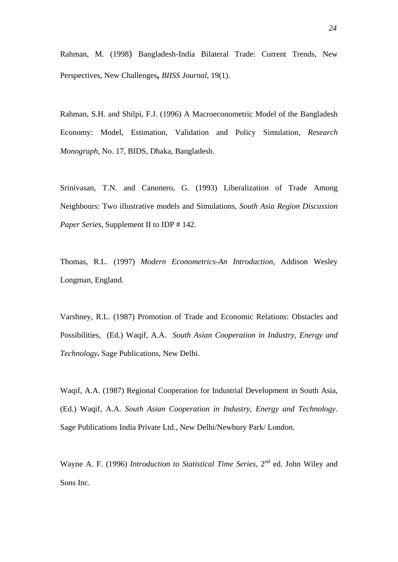Rahman, M. (1998) Bangladesh-India Bilateral Trade: Current Trends, New Perspectives, New Challenges**,** *BIISS Journal*, 19(1).

Rahman, S.H. and Shilpi, F.J. (1996) A Macroeconometric Model of the Bangladesh Economy: Model, Estimation, Validation and Policy Simulation, *Research Monograph,* No. 17, BIDS, Dhaka, Bangladesh.

Srinivasan, T.N. and Canonero, G. (1993) Liberalization of Trade Among Neighbours: Two illustrative models and Simulations, *South Asia Region Discussion Paper Series*, Supplement II to IDP # 142.

Thomas, R.L. (1997) *Modern Econometrics-An Introduction*, Addison Wesley Longman, England.

Varshney, R.L. (1987) Promotion of Trade and Economic Relations: Obstacles and Possibilities, (Ed.) Waqif, A.A. *South Asian Cooperation in Industry, Energy and Technology***.** Sage Publications, New Delhi.

Waqif, A.A. (1987) Regional Cooperation for Industrial Development in South Asia, (Ed.) Waqif, A.A. *South Asian Cooperation in Industry, Energy and Technology*. Sage Publications India Private Ltd., New Delhi/Newbury Park/ London.

Wayne A. F. (1996) *Introduction to Statistical Time Series*, 2<sup>nd</sup> ed. John Wiley and Sons Inc.